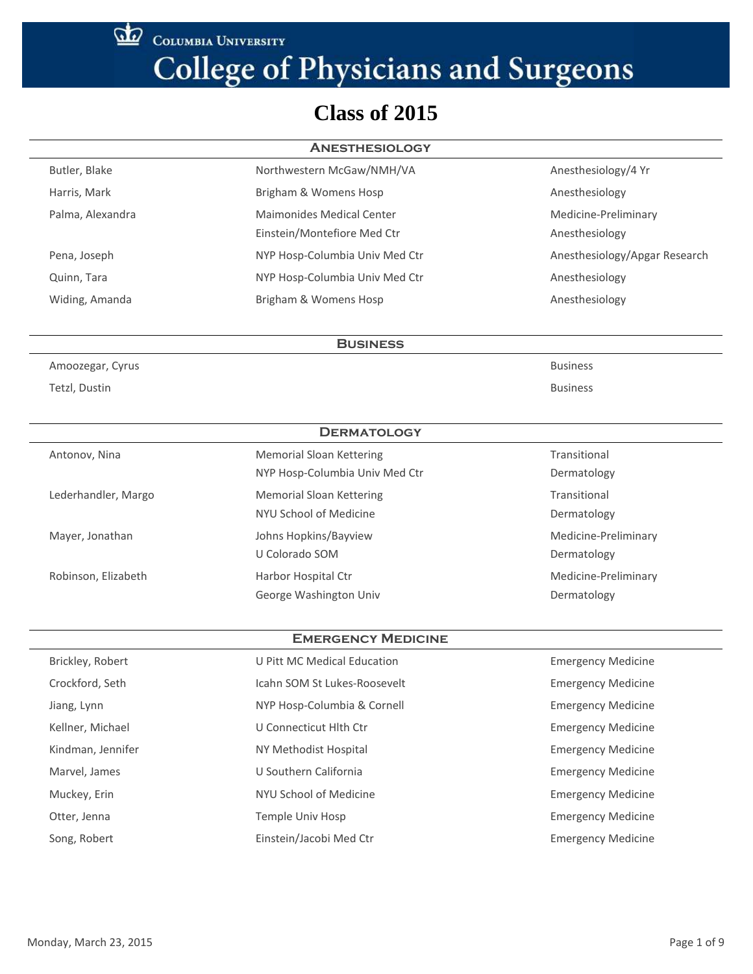COLUMBIA UNIVERSITY

# **College of Physicians and Surgeons**

### **Class of 2015**

| <b>ANESTHESIOLOGY</b> |                                  |                               |
|-----------------------|----------------------------------|-------------------------------|
| Butler, Blake         | Northwestern McGaw/NMH/VA        | Anesthesiology/4 Yr           |
| Harris, Mark          | Brigham & Womens Hosp            | Anesthesiology                |
| Palma, Alexandra      | <b>Maimonides Medical Center</b> | Medicine-Preliminary          |
|                       | Einstein/Montefiore Med Ctr      | Anesthesiology                |
| Pena, Joseph          | NYP Hosp-Columbia Univ Med Ctr   | Anesthesiology/Apgar Research |
| Quinn, Tara           | NYP Hosp-Columbia Univ Med Ctr   | Anesthesiology                |
| Widing, Amanda        | Brigham & Womens Hosp            | Anesthesiology                |

**Business**

Amoozegar, Cyrus Business

Tetzl, Dustin Business

| <b>DERMATOLOGY</b>  |                                 |                      |
|---------------------|---------------------------------|----------------------|
| Antonov, Nina       | Memorial Sloan Kettering        | Transitional         |
|                     | NYP Hosp-Columbia Univ Med Ctr  | Dermatology          |
| Lederhandler, Margo | <b>Memorial Sloan Kettering</b> | Transitional         |
|                     | NYU School of Medicine          | Dermatology          |
| Mayer, Jonathan     | Johns Hopkins/Bayview           | Medicine-Preliminary |
|                     | U Colorado SOM                  | Dermatology          |
| Robinson, Elizabeth | Harbor Hospital Ctr             | Medicine-Preliminary |
|                     | George Washington Univ          | Dermatology          |

#### **Emergency Medicine**

| Brickley, Robert  | U Pitt MC Medical Education  | <b>Emergency Medicine</b> |
|-------------------|------------------------------|---------------------------|
| Crockford, Seth   | Icahn SOM St Lukes-Roosevelt | <b>Emergency Medicine</b> |
| Jiang, Lynn       | NYP Hosp-Columbia & Cornell  | <b>Emergency Medicine</b> |
| Kellner, Michael  | U Connecticut Hith Ctr       | <b>Emergency Medicine</b> |
| Kindman, Jennifer | NY Methodist Hospital        | <b>Emergency Medicine</b> |
| Marvel, James     | U Southern California        | <b>Emergency Medicine</b> |
| Muckey, Erin      | NYU School of Medicine       | <b>Emergency Medicine</b> |
| Otter, Jenna      | Temple Univ Hosp             | <b>Emergency Medicine</b> |
| Song, Robert      | Einstein/Jacobi Med Ctr      | <b>Emergency Medicine</b> |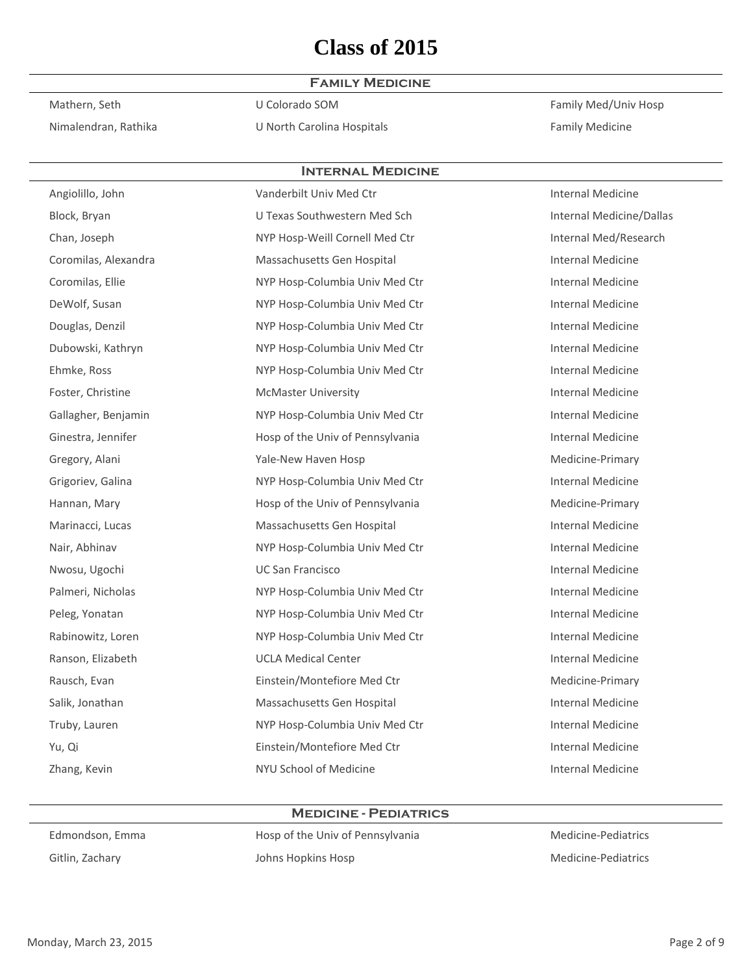#### **Family Medicine**

Nimalendran, Rathika **Nimalendran, Rathika** U North Carolina Hospitals **Family Medicine** 

Mathern, Seth **U** Colorado SOM **Interventional Coloration Coloration** Colorado SOM **Family Med/Univ Hosp** 

| <b>INTERNAL MEDICINE</b> |                                  |                          |  |
|--------------------------|----------------------------------|--------------------------|--|
| Angiolillo, John         | Vanderbilt Univ Med Ctr          | <b>Internal Medicine</b> |  |
| Block, Bryan             | U Texas Southwestern Med Sch     | Internal Medicine/Dallas |  |
| Chan, Joseph             | NYP Hosp-Weill Cornell Med Ctr   | Internal Med/Research    |  |
| Coromilas, Alexandra     | Massachusetts Gen Hospital       | <b>Internal Medicine</b> |  |
| Coromilas, Ellie         | NYP Hosp-Columbia Univ Med Ctr   | <b>Internal Medicine</b> |  |
| DeWolf, Susan            | NYP Hosp-Columbia Univ Med Ctr   | <b>Internal Medicine</b> |  |
| Douglas, Denzil          | NYP Hosp-Columbia Univ Med Ctr   | <b>Internal Medicine</b> |  |
| Dubowski, Kathryn        | NYP Hosp-Columbia Univ Med Ctr   | <b>Internal Medicine</b> |  |
| Ehmke, Ross              | NYP Hosp-Columbia Univ Med Ctr   | Internal Medicine        |  |
| Foster, Christine        | <b>McMaster University</b>       | <b>Internal Medicine</b> |  |
| Gallagher, Benjamin      | NYP Hosp-Columbia Univ Med Ctr   | <b>Internal Medicine</b> |  |
| Ginestra, Jennifer       | Hosp of the Univ of Pennsylvania | Internal Medicine        |  |
| Gregory, Alani           | Yale-New Haven Hosp              | Medicine-Primary         |  |
| Grigoriev, Galina        | NYP Hosp-Columbia Univ Med Ctr   | <b>Internal Medicine</b> |  |
| Hannan, Mary             | Hosp of the Univ of Pennsylvania | Medicine-Primary         |  |
| Marinacci, Lucas         | Massachusetts Gen Hospital       | <b>Internal Medicine</b> |  |
| Nair, Abhinav            | NYP Hosp-Columbia Univ Med Ctr   | <b>Internal Medicine</b> |  |
| Nwosu, Ugochi            | <b>UC San Francisco</b>          | <b>Internal Medicine</b> |  |
| Palmeri, Nicholas        | NYP Hosp-Columbia Univ Med Ctr   | <b>Internal Medicine</b> |  |
| Peleg, Yonatan           | NYP Hosp-Columbia Univ Med Ctr   | <b>Internal Medicine</b> |  |
| Rabinowitz, Loren        | NYP Hosp-Columbia Univ Med Ctr   | <b>Internal Medicine</b> |  |
| Ranson, Elizabeth        | <b>UCLA Medical Center</b>       | Internal Medicine        |  |
| Rausch, Evan             | Einstein/Montefiore Med Ctr      | Medicine-Primary         |  |
| Salik, Jonathan          | Massachusetts Gen Hospital       | <b>Internal Medicine</b> |  |
| Truby, Lauren            | NYP Hosp-Columbia Univ Med Ctr   | <b>Internal Medicine</b> |  |
| Yu, Qi                   | Einstein/Montefiore Med Ctr      | <b>Internal Medicine</b> |  |
| Zhang, Kevin             | NYU School of Medicine           | Internal Medicine        |  |

#### **Medicine - Pediatrics**

Edmondson, Emma 
Hosp of the Univ of Pennsylvania
Hosp of the Univ of Pennsylvania
Hosp of the Univ of Pennsylvania Gitlin, Zachary **Medicine-Pediatrics** Johns Hopkins Hosp **Medicine-Pediatrics** Medicine-Pediatrics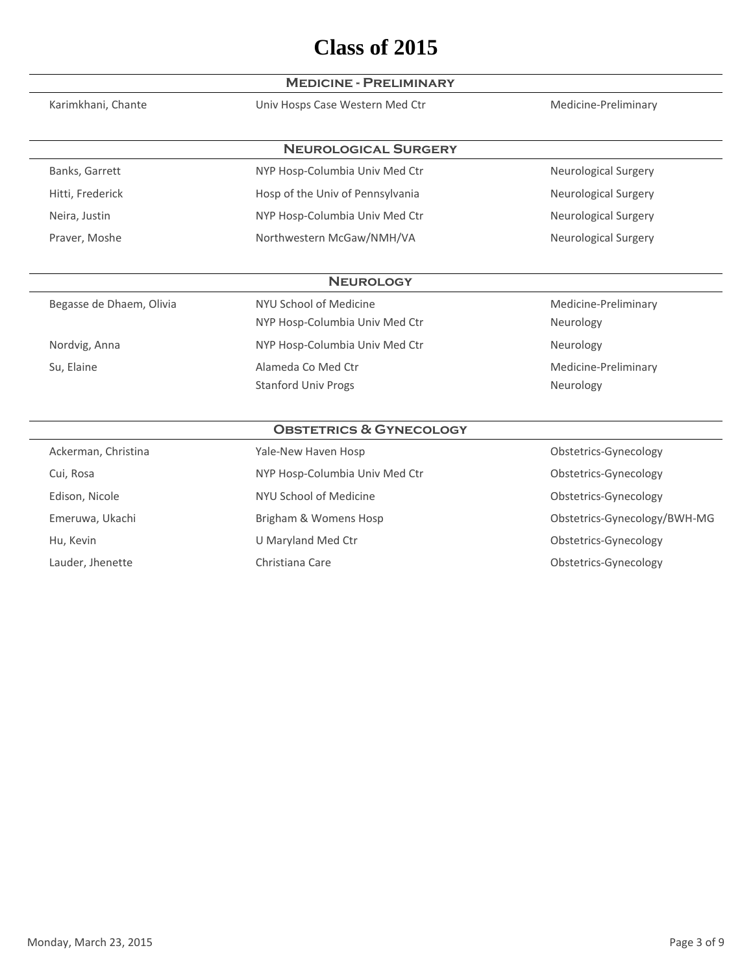|                          | <b>MEDICINE - PRELIMINARY</b>      |                              |
|--------------------------|------------------------------------|------------------------------|
| Karimkhani, Chante       | Univ Hosps Case Western Med Ctr    | Medicine-Preliminary         |
|                          | <b>NEUROLOGICAL SURGERY</b>        |                              |
| Banks, Garrett           | NYP Hosp-Columbia Univ Med Ctr     | <b>Neurological Surgery</b>  |
| Hitti, Frederick         | Hosp of the Univ of Pennsylvania   | <b>Neurological Surgery</b>  |
|                          |                                    |                              |
| Neira, Justin            | NYP Hosp-Columbia Univ Med Ctr     | <b>Neurological Surgery</b>  |
| Praver, Moshe            | Northwestern McGaw/NMH/VA          | <b>Neurological Surgery</b>  |
|                          | <b>NEUROLOGY</b>                   |                              |
| Begasse de Dhaem, Olivia | NYU School of Medicine             | Medicine-Preliminary         |
|                          | NYP Hosp-Columbia Univ Med Ctr     | Neurology                    |
| Nordvig, Anna            | NYP Hosp-Columbia Univ Med Ctr     | Neurology                    |
| Su, Elaine               | Alameda Co Med Ctr                 | Medicine-Preliminary         |
|                          | <b>Stanford Univ Progs</b>         | Neurology                    |
|                          | <b>OBSTETRICS &amp; GYNECOLOGY</b> |                              |
| Ackerman, Christina      | Yale-New Haven Hosp                | Obstetrics-Gynecology        |
| Cui, Rosa                | NYP Hosp-Columbia Univ Med Ctr     | Obstetrics-Gynecology        |
| Edison, Nicole           | NYU School of Medicine             | Obstetrics-Gynecology        |
| Emeruwa, Ukachi          | Brigham & Womens Hosp              | Obstetrics-Gynecology/BWH-MG |
| Hu, Kevin                | U Maryland Med Ctr                 | Obstetrics-Gynecology        |
| Lauder, Jhenette         | Christiana Care                    | Obstetrics-Gynecology        |
|                          |                                    |                              |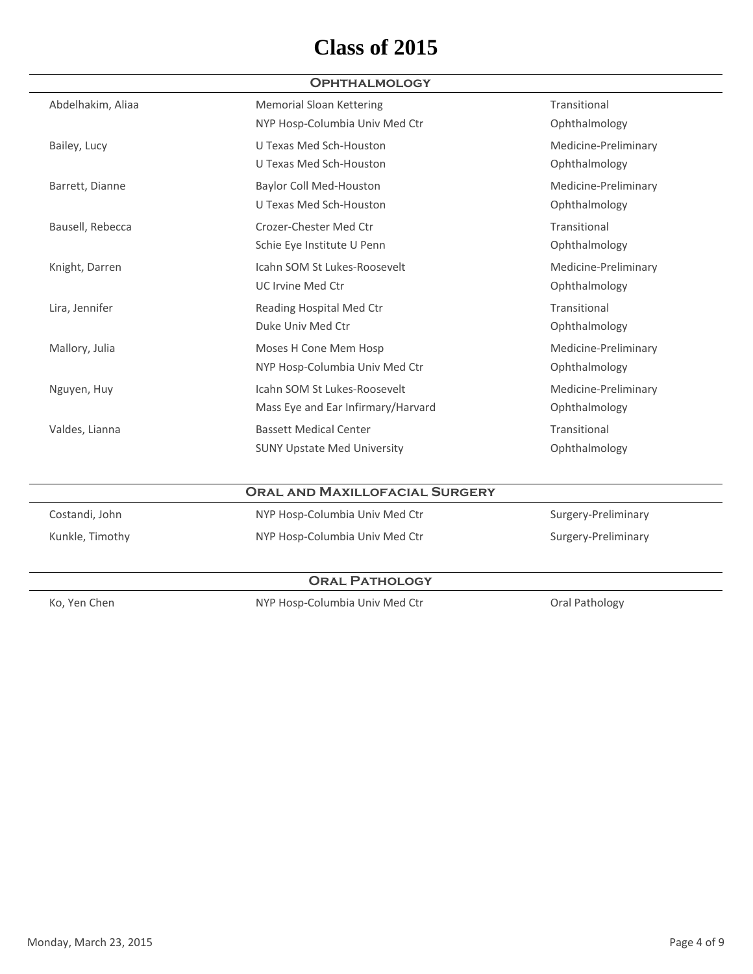### **Ophthalmology**

| Abdelhakim, Aliaa | <b>Memorial Sloan Kettering</b>    | Transitional         |
|-------------------|------------------------------------|----------------------|
|                   | NYP Hosp-Columbia Univ Med Ctr     | Ophthalmology        |
| Bailey, Lucy      | U Texas Med Sch-Houston            | Medicine-Preliminary |
|                   | U Texas Med Sch-Houston            | Ophthalmology        |
| Barrett, Dianne   | <b>Baylor Coll Med-Houston</b>     | Medicine-Preliminary |
|                   | U Texas Med Sch-Houston            | Ophthalmology        |
| Bausell, Rebecca  | Crozer-Chester Med Ctr             | Transitional         |
|                   | Schie Eye Institute U Penn         | Ophthalmology        |
| Knight, Darren    | Icahn SOM St Lukes-Roosevelt       | Medicine-Preliminary |
|                   | UC Irvine Med Ctr                  | Ophthalmology        |
| Lira, Jennifer    | Reading Hospital Med Ctr           | Transitional         |
|                   | Duke Univ Med Ctr                  | Ophthalmology        |
| Mallory, Julia    | Moses H Cone Mem Hosp              | Medicine-Preliminary |
|                   | NYP Hosp-Columbia Univ Med Ctr     | Ophthalmology        |
| Nguyen, Huy       | Icahn SOM St Lukes-Roosevelt       | Medicine-Preliminary |
|                   | Mass Eye and Ear Infirmary/Harvard | Ophthalmology        |
| Valdes, Lianna    | <b>Bassett Medical Center</b>      | Transitional         |
|                   | <b>SUNY Upstate Med University</b> | Ophthalmology        |
|                   |                                    |                      |

|                 | <b>ORAL AND MAXILLOFACIAL SURGERY</b> |                     |
|-----------------|---------------------------------------|---------------------|
| Costandi, John  | NYP Hosp-Columbia Univ Med Ctr        | Surgery-Preliminary |
| Kunkle, Timothy | NYP Hosp-Columbia Univ Med Ctr        | Surgery-Preliminary |
|                 |                                       |                     |

### **Oral Pathology**

Ko, Yen Chen **NYP Hosp-Columbia Univ Med Ctr** Chen Chen Mathology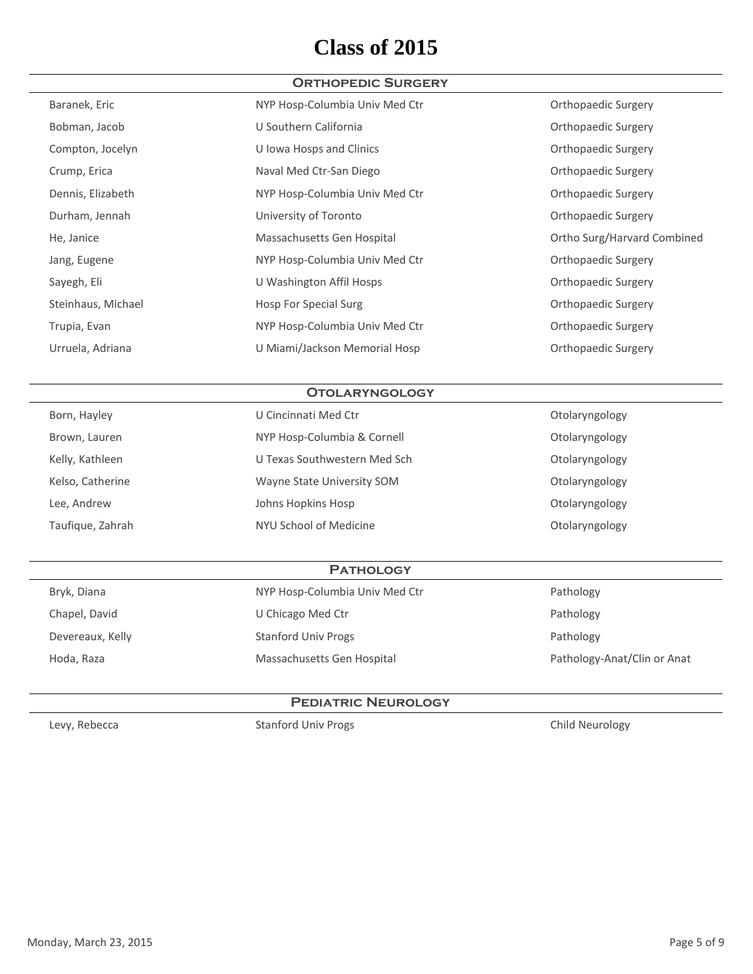### **Orthopedic Surgery**

| Baranek, Eric      | NYP Hosp-Columbia Univ Med Ctr | Orthopaedic Surgery         |
|--------------------|--------------------------------|-----------------------------|
| Bobman, Jacob      | U Southern California          | Orthopaedic Surgery         |
| Compton, Jocelyn   | U Iowa Hosps and Clinics       | Orthopaedic Surgery         |
| Crump, Erica       | Naval Med Ctr-San Diego        | Orthopaedic Surgery         |
| Dennis, Elizabeth  | NYP Hosp-Columbia Univ Med Ctr | Orthopaedic Surgery         |
| Durham, Jennah     | University of Toronto          | Orthopaedic Surgery         |
| He, Janice         | Massachusetts Gen Hospital     | Ortho Surg/Harvard Combined |
| Jang, Eugene       | NYP Hosp-Columbia Univ Med Ctr | Orthopaedic Surgery         |
| Sayegh, Eli        | U Washington Affil Hosps       | Orthopaedic Surgery         |
| Steinhaus, Michael | <b>Hosp For Special Surg</b>   | Orthopaedic Surgery         |
| Trupia, Evan       | NYP Hosp-Columbia Univ Med Ctr | Orthopaedic Surgery         |
| Urruela, Adriana   | U Miami/Jackson Memorial Hosp  | Orthopaedic Surgery         |
|                    |                                |                             |

#### **Otolaryngology**

| U Cincinnati Med Ctr         | Otolaryngology |
|------------------------------|----------------|
| NYP Hosp-Columbia & Cornell  | Otolaryngology |
| U Texas Southwestern Med Sch | Otolaryngology |
| Wayne State University SOM   | Otolaryngology |
| Johns Hopkins Hosp           | Otolaryngology |
| NYU School of Medicine       | Otolaryngology |
|                              |                |

### **Pathology**

| Bryk, Diana      | NYP Hosp-Columbia Univ Med Ctr | Pathology                   |
|------------------|--------------------------------|-----------------------------|
| Chapel, David    | U Chicago Med Ctr              | Pathology                   |
| Devereaux, Kelly | <b>Stanford Univ Progs</b>     | Pathology                   |
| Hoda, Raza       | Massachusetts Gen Hospital     | Pathology-Anat/Clin or Anat |

#### **Pediatric Neurology**

Levy, Rebecca **Stanford Univ Progs** Child Neurology Child Neurology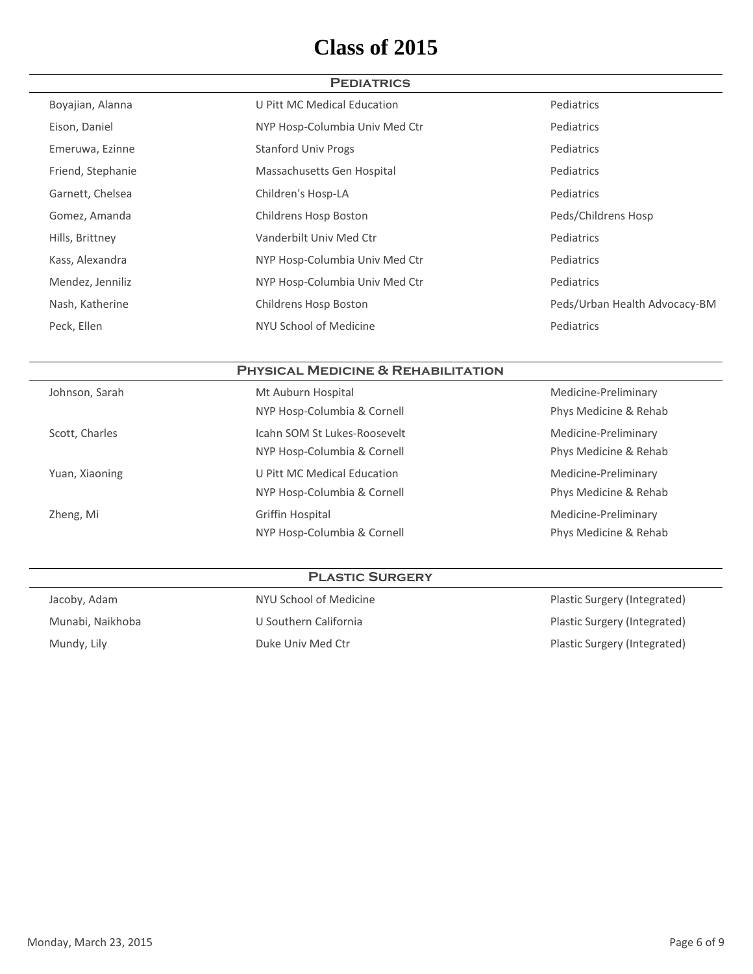| <b>PEDIATRICS</b> |                                |                               |  |
|-------------------|--------------------------------|-------------------------------|--|
| Boyajian, Alanna  | U Pitt MC Medical Education    | Pediatrics                    |  |
| Eison, Daniel     | NYP Hosp-Columbia Univ Med Ctr | Pediatrics                    |  |
| Emeruwa, Ezinne   | <b>Stanford Univ Progs</b>     | Pediatrics                    |  |
| Friend, Stephanie | Massachusetts Gen Hospital     | Pediatrics                    |  |
| Garnett, Chelsea  | Children's Hosp-LA             | Pediatrics                    |  |
| Gomez, Amanda     | Childrens Hosp Boston          | Peds/Childrens Hosp           |  |
| Hills, Brittney   | Vanderbilt Univ Med Ctr        | Pediatrics                    |  |
| Kass, Alexandra   | NYP Hosp-Columbia Univ Med Ctr | Pediatrics                    |  |
| Mendez, Jenniliz  | NYP Hosp-Columbia Univ Med Ctr | Pediatrics                    |  |
| Nash, Katherine   | Childrens Hosp Boston          | Peds/Urban Health Advocacy-BM |  |
| Peck, Ellen       | NYU School of Medicine         | Pediatrics                    |  |

### **Physical Medicine & Rehabilitation**

| Johnson, Sarah | Mt Auburn Hospital           | Medicine-Preliminary  |
|----------------|------------------------------|-----------------------|
|                | NYP Hosp-Columbia & Cornell  | Phys Medicine & Rehab |
| Scott, Charles | Icahn SOM St Lukes-Roosevelt | Medicine-Preliminary  |
|                | NYP Hosp-Columbia & Cornell  | Phys Medicine & Rehab |
| Yuan, Xiaoning | U Pitt MC Medical Education  | Medicine-Preliminary  |
|                | NYP Hosp-Columbia & Cornell  | Phys Medicine & Rehab |
| Zheng, Mi      | Griffin Hospital             | Medicine-Preliminary  |
|                | NYP Hosp-Columbia & Cornell  | Phys Medicine & Rehab |
|                |                              |                       |

### **Plastic Surgery**

| Jacoby, Adam     | NYU School of Medicine | Plastic Surgery (Integrated) |
|------------------|------------------------|------------------------------|
| Munabi, Naikhoba | U Southern California  | Plastic Surgery (Integrated) |
| Mundy, Lily      | Duke Univ Med Ctr      | Plastic Surgery (Integrated) |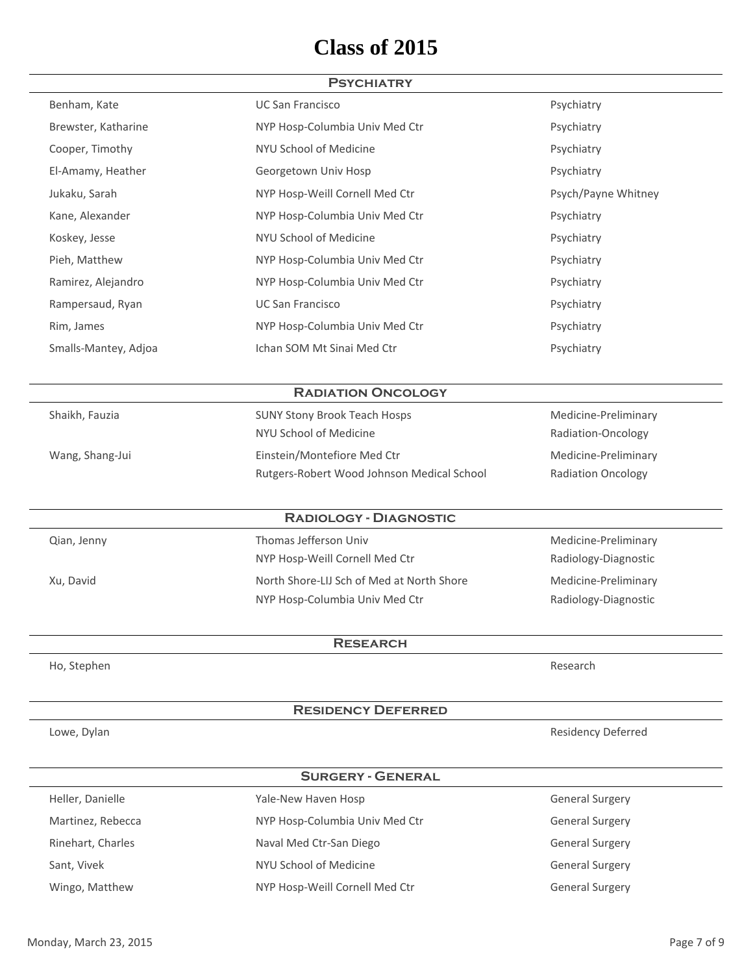#### **Psychiatry**

| Benham, Kate         | <b>UC San Francisco</b>        | Psychiatry          |
|----------------------|--------------------------------|---------------------|
| Brewster, Katharine  | NYP Hosp-Columbia Univ Med Ctr | Psychiatry          |
| Cooper, Timothy      | NYU School of Medicine         | Psychiatry          |
| El-Amamy, Heather    | Georgetown Univ Hosp           | Psychiatry          |
| Jukaku, Sarah        | NYP Hosp-Weill Cornell Med Ctr | Psych/Payne Whitney |
| Kane, Alexander      | NYP Hosp-Columbia Univ Med Ctr | Psychiatry          |
| Koskey, Jesse        | NYU School of Medicine         | Psychiatry          |
| Pieh, Matthew        | NYP Hosp-Columbia Univ Med Ctr | Psychiatry          |
| Ramirez, Alejandro   | NYP Hosp-Columbia Univ Med Ctr | Psychiatry          |
| Rampersaud, Ryan     | <b>UC San Francisco</b>        | Psychiatry          |
| Rim, James           | NYP Hosp-Columbia Univ Med Ctr | Psychiatry          |
| Smalls-Mantey, Adjoa | Ichan SOM Mt Sinai Med Ctr     | Psychiatry          |
|                      |                                |                     |

#### **Radiation Oncology**

NYU School of Medicine **Radiation-Oncology** Wang, Shang-Jui **Einstein/Montefiore Med Ctr** Montertione Medicine-Preliminary Rutgers-Robert Wood Johnson Medical School **Radiation Oncology** 

Shaikh, Fauzia **SUNY Stony Brook Teach Hosps** Medicine-Preliminary

#### **Radiology - Diagnostic**

NYP Hosp-Weill Cornell Med Ctr **Radiology-Diagnostic** Radiology-Diagnostic Xu, David **North Shore-LIJ Sch of Med at North Shore** Medicine-Preliminary NYP Hosp-Columbia Univ Med Ctr Radiology-Diagnostic

Qian, Jenny Thomas Jefferson Univ Medicine-Preliminary

**Research**

Ho, Stephen Research

#### **Residency Deferred**

Lowe, Dylan Residency Deferred Communications and the Communications of the Residency Deferred

#### **Surgery - General**

| Heller, Danielle  | Yale-New Haven Hosp            | <b>General Surgery</b> |
|-------------------|--------------------------------|------------------------|
| Martinez, Rebecca | NYP Hosp-Columbia Univ Med Ctr | <b>General Surgery</b> |
| Rinehart, Charles | Naval Med Ctr-San Diego        | <b>General Surgery</b> |
| Sant, Vivek       | NYU School of Medicine         | <b>General Surgery</b> |
| Wingo, Matthew    | NYP Hosp-Weill Cornell Med Ctr | <b>General Surgery</b> |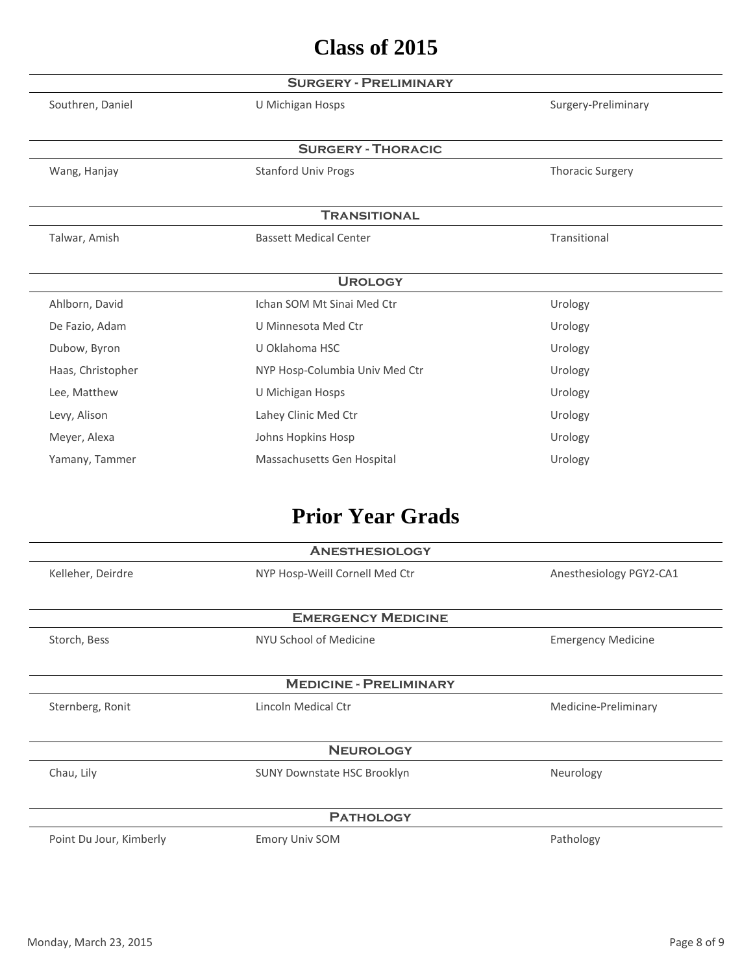|                   | <b>SURGERY - PRELIMINARY</b>   |                         |
|-------------------|--------------------------------|-------------------------|
| Southren, Daniel  | U Michigan Hosps               | Surgery-Preliminary     |
|                   |                                |                         |
|                   | <b>SURGERY - THORACIC</b>      |                         |
| Wang, Hanjay      | <b>Stanford Univ Progs</b>     | <b>Thoracic Surgery</b> |
|                   |                                |                         |
|                   | <b>TRANSITIONAL</b>            |                         |
| Talwar, Amish     | <b>Bassett Medical Center</b>  | Transitional            |
|                   |                                |                         |
|                   | <b>UROLOGY</b>                 |                         |
| Ahlborn, David    | Ichan SOM Mt Sinai Med Ctr     | Urology                 |
| De Fazio, Adam    | U Minnesota Med Ctr            | Urology                 |
| Dubow, Byron      | U Oklahoma HSC                 | Urology                 |
| Haas, Christopher | NYP Hosp-Columbia Univ Med Ctr | Urology                 |
| Lee, Matthew      | U Michigan Hosps               | Urology                 |
| Levy, Alison      | Lahey Clinic Med Ctr           | Urology                 |
| Meyer, Alexa      | Johns Hopkins Hosp             | Urology                 |
| Yamany, Tammer    | Massachusetts Gen Hospital     | Urology                 |

# **Prior Year Grads**

|                         | <b>ANESTHESIOLOGY</b>          |                           |
|-------------------------|--------------------------------|---------------------------|
| Kelleher, Deirdre       | NYP Hosp-Weill Cornell Med Ctr | Anesthesiology PGY2-CA1   |
|                         | <b>EMERGENCY MEDICINE</b>      |                           |
| Storch, Bess            | NYU School of Medicine         | <b>Emergency Medicine</b> |
|                         | <b>MEDICINE - PRELIMINARY</b>  |                           |
| Sternberg, Ronit        | Lincoln Medical Ctr            | Medicine-Preliminary      |
|                         | <b>NEUROLOGY</b>               |                           |
| Chau, Lily              | SUNY Downstate HSC Brooklyn    | Neurology                 |
|                         | <b>PATHOLOGY</b>               |                           |
| Point Du Jour, Kimberly | <b>Emory Univ SOM</b>          | Pathology                 |